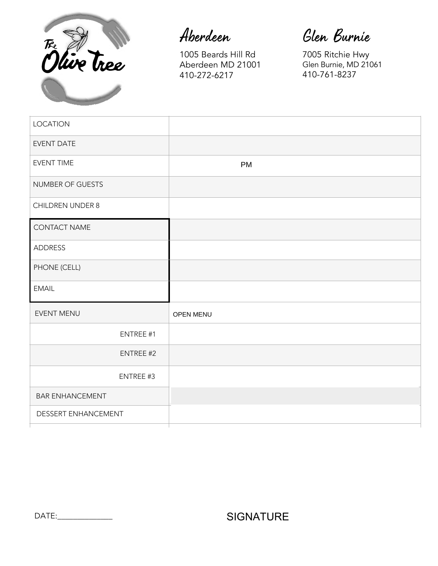

Aberdeen

1005 Beards Hill Rd Aberdeen MD 21001 410-272-6217

Glen Burnie

7005 Ritchie Hwy Glen Burnie, MD 21061 410-761-8237

| <b>LOCATION</b>         | $\vert \textcolor{red}{\textbf{-}} \vert$  |
|-------------------------|--------------------------------------------|
| <b>EVENT DATE</b>       |                                            |
| <b>EVENT TIME</b>       | $\boxed{\mathbf{r}}$<br><b>PM</b>          |
| NUMBER OF GUESTS        |                                            |
| <b>CHILDREN UNDER 8</b> |                                            |
| CONTACT NAME            |                                            |
| ADDRESS                 |                                            |
| PHONE (CELL)            |                                            |
| <b>EMAIL</b>            |                                            |
| EVENT MENU              | $\left  \cdot \right $<br><b>OPEN MENU</b> |
| ENTREE #1               |                                            |
| ENTREE #2               |                                            |
| ENTREE #3               |                                            |
| <b>BAR ENHANCEMENT</b>  | $\boxed{\mathbf{r}}$                       |
| DESSERT ENHANCEMENT     | $\left  \rule{0pt}{10pt} \right.$          |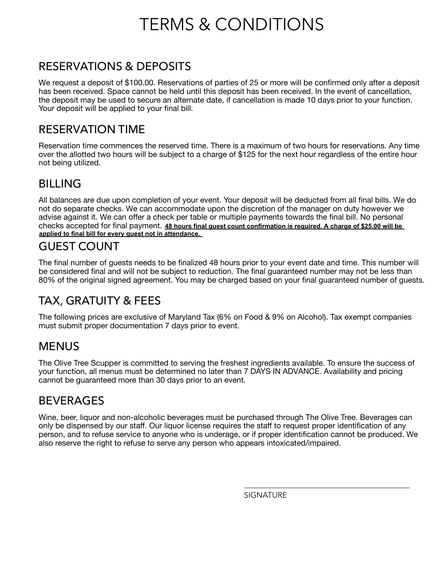# TERMS & CONDITIONS

## RESERVATIONS & DEPOSITS

We request a deposit of \$100.00. Reservations of parties of 25 or more will be confirmed only after a deposit has been received. Space cannot be held until this deposit has been received. In the event of cancellation, the deposit may be used to secure an alternate date, if cancellation is made 10 days prior to your function. Your deposit will be applied to your final bill.

#### RESERVATION TIME

Reservation time commences the reserved time. There is a maximum of two hours for reservations. Any time over the allotted two hours will be subject to a charge of \$125 for the next hour regardless of the entire hour not being utilized.

# BILLING

All balances are due upon completion of your event. Your deposit will be deducted from all final bills. We do not do separate checks. We can accommodate upon the discretion of the manager on duty however we advise against it. We can offer a check per table or multiple payments towards the final bill. No personal checks accepted for final payment. 48 hours final guest count confirmation is required. A charge of \$25.00 will be **applied to final bill for every guest not in attendance.** 

#### GUEST COUNT

The final number of guests needs to be finalized 48 hours prior to your event date and time. This number will be considered final and will not be subject to reduction. The final guaranteed number may not be less than 80% of the original signed agreement. You may be charged based on your final guaranteed number of guests.

# TAX, GRATUITY & FEES

The following prices are exclusive of Maryland Tax (6% on Food & 9% on Alcohol). Tax exempt companies must submit proper documentation 7 days prior to event.

## **MENUS**

The Olive Tree Scupper is committed to serving the freshest ingredients available. To ensure the success of your function, all menus must be determined no later than 7 DAYS IN ADVANCE. Availability and pricing cannot be guaranteed more than 30 days prior to an event.

## **BEVERAGES**

Wine, beer, liquor and non-alcoholic beverages must be purchased through The Olive Tree. Beverages can only be dispensed by our staff. Our liquor license requires the staff to request proper identification of any person, and to refuse service to anyone who is underage, or if proper identification cannot be produced. We also reserve the right to refuse to serve any person who appears intoxicated/impaired.

**SIGNATURE** 

\_\_\_\_\_\_\_\_\_\_\_\_\_\_\_\_\_\_\_\_\_\_\_\_\_\_\_\_\_\_\_\_\_\_\_\_\_\_\_\_\_\_